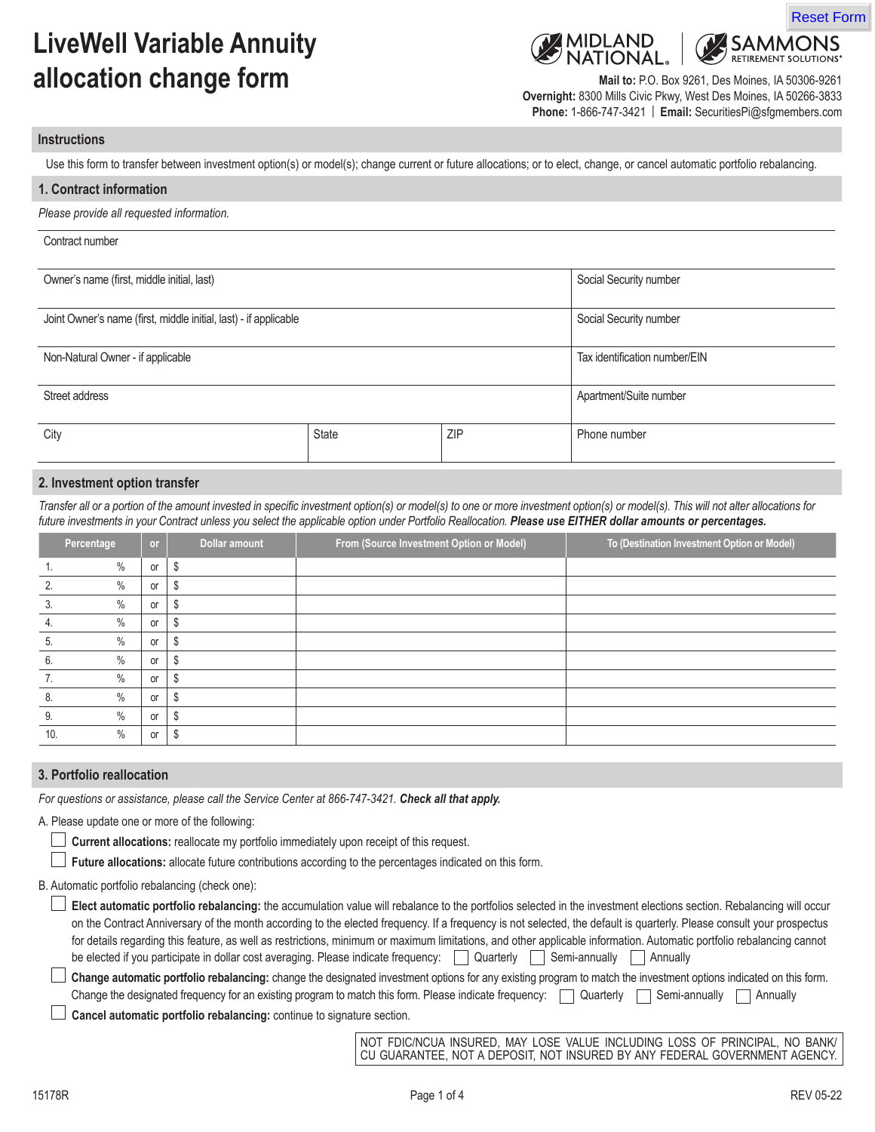# **LiveWell Variable Annuity allocation change form**



Reset Form

**SAMMONS RETIREMENT SOLUTIONS** 

**Mail to:** P.O. Box 9261, Des Moines, IA 50306-9261 **Overnight:** 8300 Mills Civic Pkwy, West Des Moines, IA 50266-3833 **Phone:** 1-866-747-3421 | **Email:** SecuritiesPi@sfgmembers.com

#### **Instructions**

Use this form to transfer between investment option(s) or model(s); change current or future allocations; or to elect, change, or cancel automatic portfolio rebalancing.

| 1. Contract information                                          |       |                        |                               |
|------------------------------------------------------------------|-------|------------------------|-------------------------------|
| Please provide all requested information.                        |       |                        |                               |
| Contract number                                                  |       |                        |                               |
| Owner's name (first, middle initial, last)                       |       |                        | Social Security number        |
| Joint Owner's name (first, middle initial, last) - if applicable |       | Social Security number |                               |
| Non-Natural Owner - if applicable                                |       |                        | Tax identification number/EIN |
| Street address                                                   |       | Apartment/Suite number |                               |
| City                                                             | State | ZIP                    | Phone number                  |

#### **2. Investment option transfer**

*Transfer all or a portion of the amount invested in specific investment option(s) or model(s) to one or more investment option(s) or model(s). This will not alter allocations for*  future investments in your Contract unless you select the applicable option under Portfolio Reallocation. **Please use EITHER dollar amounts or percentages.** 

|            | Percentage | or | Dollar amount | From (Source Investment Option or Model) | To (Destination Investment Option or Model) |
|------------|------------|----|---------------|------------------------------------------|---------------------------------------------|
|            | $\%$       | or | \$            |                                          |                                             |
|            | $\%$       | or | S             |                                          |                                             |
|            | $\%$       | or | \$            |                                          |                                             |
| 4.         | $\%$       | or | \$            |                                          |                                             |
| ხ.         | $\%$       | or | S             |                                          |                                             |
| 6.         | $\%$       | or | S             |                                          |                                             |
| <i>I</i> . | $\%$       | or | \$            |                                          |                                             |
| 8.         | $\%$       | or | S             |                                          |                                             |
| 9.         | $\%$       | or | S             |                                          |                                             |
| 10.        | $\%$       | or | S             |                                          |                                             |

#### **3. Portfolio reallocation**

*For questions or assistance, please call the Service Center at 866-747-3421. Check all that apply.*

A. Please update one or more of the following:

**Current allocations:** reallocate my portfolio immediately upon receipt of this request.

 **Future allocations:** allocate future contributions according to the percentages indicated on this form.

B. Automatic portfolio rebalancing (check one):

| Elect automatic portfolio rebalancing: the accumulation value will rebalance to the portfolios selected in the investment elections section. Rebalancing will occur   |
|-----------------------------------------------------------------------------------------------------------------------------------------------------------------------|
| on the Contract Anniversary of the month according to the elected frequency. If a frequency is not selected, the default is quarterly. Please consult your prospectus |
| for details regarding this feature, as well as restrictions, minimum or maximum limitations, and other applicable information. Automatic portfolio rebalancing cannot |
| Semi-annually<br>be elected if you participate in dollar cost averaging. Please indicate frequency: [<br>Quarterly<br>Annually                                        |

**Change automatic portfolio rebalancing:** change the designated investment options for any existing program to match the investment options indicated on this form. Change the designated frequency for an existing program to match this form. Please indicate frequency:  $\Box$  Quarterly  $\Box$  Semi-annually  $\Box$  Annually

 **Cancel automatic portfolio rebalancing:** continue to signature section.

NOT FDIC/NCUA INSURED, MAY LOSE VALUE INCLUDING LOSS OF PRINCIPAL, NO BANK/ CU GUARANTEE, NOT A DEPOSIT, NOT INSURED BY ANY FEDERAL GOVERNMENT AGENCY.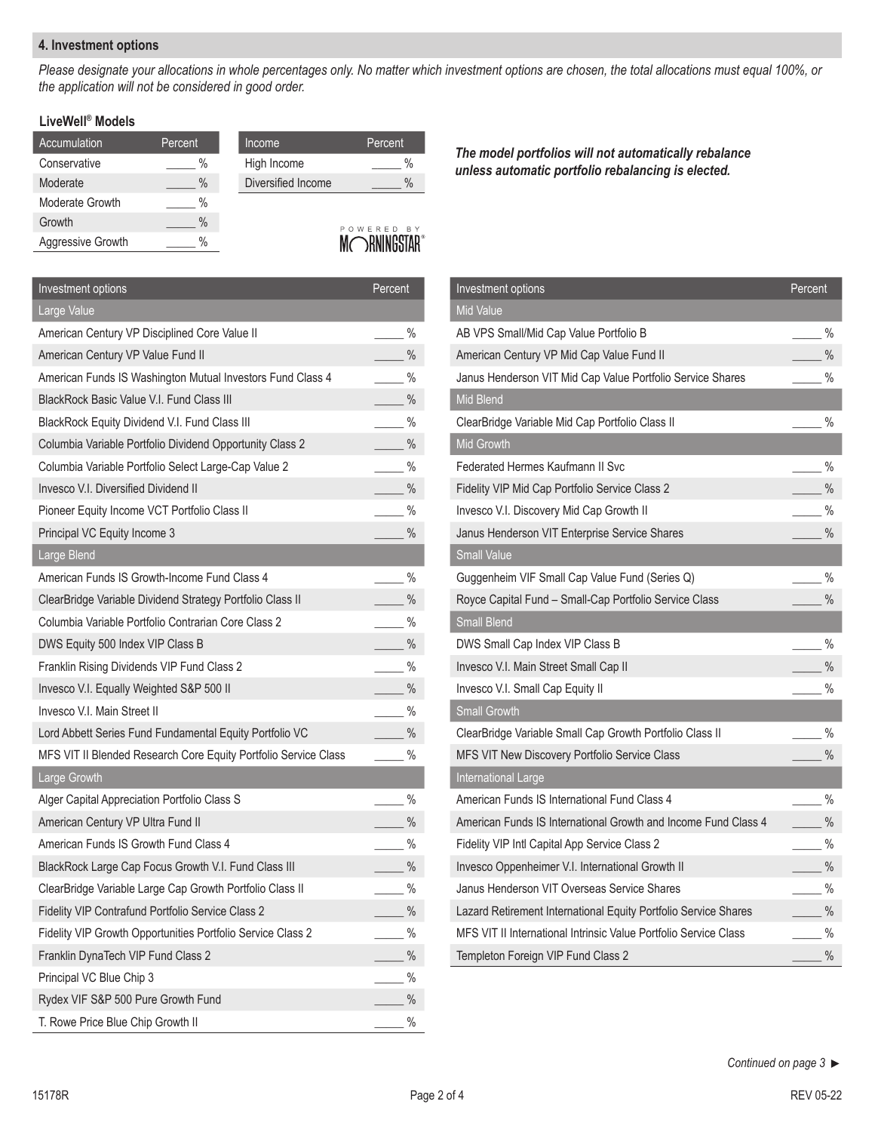### **4. Investment options**

*Please designate your allocations in whole percentages only. No matter which investment options are chosen, the total allocations must equal 100%, or the application will not be considered in good order.*

## **LiveWell® Models**

| Accumulation      | Percent | Income             | Percent    |
|-------------------|---------|--------------------|------------|
| Conservative      | $\%$    | High Income        | %          |
| Moderate          | $\%$    | Diversified Income | $\%$       |
| Moderate Growth   | $\%$    |                    |            |
| Growth            | $\%$    |                    | POWERED BY |
| Aggressive Growth | $\%$    |                    |            |

Investment options **Percent** Large Value American Century VP Disciplined Core Value II \_\_\_\_\_\_\_ % American Century VP Value Fund II \_\_\_\_\_ % % American Funds IS Washington Mutual Investors Fund Class 4  $\%$ BlackRock Basic Value V.I. Fund Class III \_\_\_\_\_\_\_\_\_\_\_\_\_\_\_\_\_\_\_\_\_ % BlackRock Equity Dividend V.I. Fund Class III \_\_\_\_\_\_\_\_ % Columbia Variable Portfolio Dividend Opportunity Class 2 \_\_\_\_\_ % Columbia Variable Portfolio Select Large-Cap Value 2 \_\_\_\_\_ % Invesco V.I. Diversified Dividend II \_\_\_\_\_ % Pioneer Equity Income VCT Portfolio Class II \_\_\_\_\_\_ % Principal VC Equity Income 3 \_\_\_\_ % Large Blend American Funds IS Growth-Income Fund Class 4 ClearBridge Variable Dividend Strategy Portfolio Class II \_\_\_\_\_\_\_ % Columbia Variable Portfolio Contrarian Core Class 2 \_\_\_\_\_ % DWS Equity 500 Index VIP Class B \_\_\_\_\_ % Franklin Rising Dividends VIP Fund Class 2 \_\_\_\_\_\_ % Invesco V.I. Equally Weighted S&P 500 II **New York Construction** Manual Methods of Manual Methods and Manual Methods of Manual Methods and Manual Methods and Manual Methods and Manual Methods and Manual Methods and Manual Invesco V.I. Main Street II \_\_\_\_\_ % Lord Abbett Series Fund Fundamental Equity Portfolio VC \_\_\_\_\_\_ % MFS VIT II Blended Research Core Equity Portfolio Service Class \_\_\_\_\_ % Large Growth Alger Capital Appreciation Portfolio Class S<br>
Manuscription Section 1 (1995) 86 American Century VP Ultra Fund II \_\_\_\_\_ % % American Funds IS Growth Fund Class 4  $\%$ BlackRock Large Cap Focus Growth V.I. Fund Class III \_\_\_\_\_\_\_\_\_ % ClearBridge Variable Large Cap Growth Portfolio Class II \_\_\_\_\_ % Fidelity VIP Contrafund Portfolio Service Class 2 \_\_\_\_\_ % Fidelity VIP Growth Opportunities Portfolio Service Class 2 \_\_\_\_\_\_ % Franklin DynaTech VIP Fund Class 2 \_\_\_\_\_ % Principal VC Blue Chip 3 \_\_\_\_\_ % Rydex VIF S&P 500 Pure Growth Fund  $\sim$ T. Rowe Price Blue Chip Growth II \_\_\_\_\_\_\_ %

*The model portfolios will not automatically rebalance unless automatic portfolio rebalancing is elected.* 

| Investment options                                               | Percent       |               |
|------------------------------------------------------------------|---------------|---------------|
| <b>Mid Value</b>                                                 |               |               |
| AB VPS Small/Mid Cap Value Portfolio B                           | $\frac{9}{6}$ |               |
| American Century VP Mid Cap Value Fund II                        |               | $\%$          |
| Janus Henderson VIT Mid Cap Value Portfolio Service Shares       |               | $\%$          |
| Mid Blend                                                        |               |               |
| ClearBridge Variable Mid Cap Portfolio Class II                  | $\frac{9}{6}$ |               |
| Mid Growth                                                       |               |               |
| Federated Hermes Kaufmann II Svc                                 | %             |               |
| Fidelity VIP Mid Cap Portfolio Service Class 2                   |               | $\%$          |
| Invesco V.I. Discovery Mid Cap Growth II                         |               | $\%$          |
| Janus Henderson VIT Enterprise Service Shares                    | $\frac{9}{6}$ |               |
| <b>Small Value</b>                                               |               |               |
| Guggenheim VIF Small Cap Value Fund (Series Q)                   | $\frac{9}{6}$ |               |
| Royce Capital Fund - Small-Cap Portfolio Service Class           |               | $\%$          |
| Small Blend                                                      |               |               |
| DWS Small Cap Index VIP Class B                                  | $\frac{9}{6}$ |               |
| Invesco V.I. Main Street Small Cap II                            | $\%$          |               |
| Invesco V.I. Small Cap Equity II                                 | $\frac{9}{6}$ |               |
| <b>Small Growth</b>                                              |               |               |
| ClearBridge Variable Small Cap Growth Portfolio Class II         |               | $\frac{0}{0}$ |
| MFS VIT New Discovery Portfolio Service Class                    |               | $\%$          |
| <b>International Large</b>                                       |               |               |
| American Funds IS International Fund Class 4                     | $\frac{9}{6}$ |               |
| American Funds IS International Growth and Income Fund Class 4   |               | $\frac{0}{0}$ |
| Fidelity VIP Intl Capital App Service Class 2                    | $\frac{9}{6}$ |               |
| Invesco Oppenheimer V.I. International Growth II                 | $\frac{9}{6}$ |               |
| Janus Henderson VIT Overseas Service Shares                      |               | $\%$          |
| Lazard Retirement International Equity Portfolio Service Shares  |               | $\%$          |
| MFS VIT II International Intrinsic Value Portfolio Service Class |               | $\%$          |
| Templeton Foreign VIP Fund Class 2                               |               | $\frac{0}{0}$ |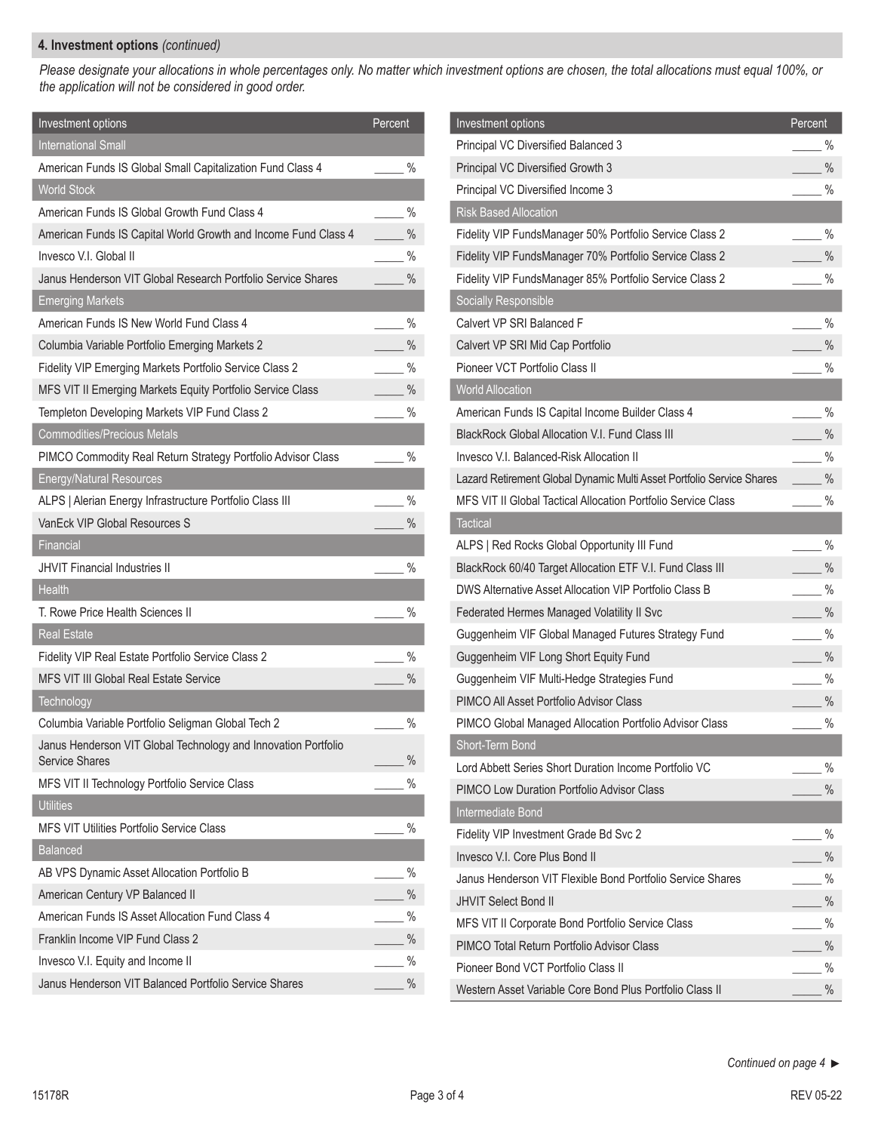## **4. Investment options** *(continued)*

*Please designate your allocations in whole percentages only. No matter which investment options are chosen, the total allocations must equal 100%, or the application will not be considered in good order.*

| Investment options                                                                      | Percent       |
|-----------------------------------------------------------------------------------------|---------------|
| <b>International Small</b>                                                              |               |
| American Funds IS Global Small Capitalization Fund Class 4                              | $\%$          |
| <b>World Stock</b>                                                                      |               |
| American Funds IS Global Growth Fund Class 4                                            | $\%$          |
| American Funds IS Capital World Growth and Income Fund Class 4                          | $\frac{0}{0}$ |
| Invesco V.I. Global II                                                                  | $\%$          |
| Janus Henderson VIT Global Research Portfolio Service Shares                            | $\frac{0}{0}$ |
| <b>Emerging Markets</b>                                                                 |               |
| American Funds IS New World Fund Class 4                                                | $\%$          |
| Columbia Variable Portfolio Emerging Markets 2                                          | $\%$          |
| Fidelity VIP Emerging Markets Portfolio Service Class 2                                 | $\%$          |
| MFS VIT II Emerging Markets Equity Portfolio Service Class                              | $\frac{0}{0}$ |
| Templeton Developing Markets VIP Fund Class 2                                           | $\%$          |
| <b>Commodities/Precious Metals</b>                                                      |               |
| PIMCO Commodity Real Return Strategy Portfolio Advisor Class                            | $\%$          |
| <b>Energy/Natural Resources</b>                                                         |               |
| ALPS   Alerian Energy Infrastructure Portfolio Class III                                | $\%$          |
| VanEck VIP Global Resources S                                                           | $\frac{0}{0}$ |
| Financial                                                                               |               |
| <b>JHVIT Financial Industries II</b>                                                    | $\%$          |
| <b>Health</b>                                                                           |               |
| T. Rowe Price Health Sciences II                                                        | $\%$          |
| <b>Real Estate</b>                                                                      |               |
| Fidelity VIP Real Estate Portfolio Service Class 2                                      | $\%$          |
| MFS VIT III Global Real Estate Service                                                  | $\%$          |
| Technology                                                                              |               |
| Columbia Variable Portfolio Seligman Global Tech 2                                      | $\%$          |
| Janus Henderson VIT Global Technology and Innovation Portfolio<br><b>Service Shares</b> | $\%$          |
| MFS VIT II Technology Portfolio Service Class                                           | $\%$          |
| <b>Utilities</b>                                                                        |               |
| MFS VIT Utilities Portfolio Service Class                                               | $\%$          |
| <b>Balanced</b>                                                                         |               |
| AB VPS Dynamic Asset Allocation Portfolio B                                             | $\%$          |
| American Century VP Balanced II                                                         | $\%$          |
| American Funds IS Asset Allocation Fund Class 4                                         | %             |
| Franklin Income VIP Fund Class 2                                                        | $\%$          |
| Invesco V.I. Equity and Income II                                                       | $\%$          |
| Janus Henderson VIT Balanced Portfolio Service Shares                                   | $\%$          |

| Investment options                                                    | Percent       |
|-----------------------------------------------------------------------|---------------|
| Principal VC Diversified Balanced 3                                   | $\%$          |
| Principal VC Diversified Growth 3                                     | $\%$          |
|                                                                       | $\%$          |
| Principal VC Diversified Income 3                                     |               |
| <b>Risk Based Allocation</b>                                          |               |
| Fidelity VIP FundsManager 50% Portfolio Service Class 2               | $\frac{0}{0}$ |
| Fidelity VIP FundsManager 70% Portfolio Service Class 2               | $\frac{0}{0}$ |
| Fidelity VIP FundsManager 85% Portfolio Service Class 2               | $\%$          |
| Socially Responsible                                                  |               |
| Calvert VP SRI Balanced F                                             | $\frac{9}{6}$ |
| Calvert VP SRI Mid Cap Portfolio                                      | $\frac{0}{0}$ |
| Pioneer VCT Portfolio Class II                                        | $\frac{0}{0}$ |
| <b>World Allocation</b>                                               |               |
| American Funds IS Capital Income Builder Class 4                      | $\%$          |
| <b>BlackRock Global Allocation V.I. Fund Class III</b>                | $\%$          |
| Invesco V.I. Balanced-Risk Allocation II                              | $\%$          |
| Lazard Retirement Global Dynamic Multi Asset Portfolio Service Shares | $\%$          |
| MFS VIT II Global Tactical Allocation Portfolio Service Class         | $\%$          |
| <b>Tactical</b>                                                       |               |
| ALPS   Red Rocks Global Opportunity III Fund                          | $\frac{9}{6}$ |
| BlackRock 60/40 Target Allocation ETF V.I. Fund Class III             | $\frac{0}{0}$ |
| DWS Alternative Asset Allocation VIP Portfolio Class B                | $\%$          |
| Federated Hermes Managed Volatility II Svc                            | $\frac{0}{0}$ |
| Guggenheim VIF Global Managed Futures Strategy Fund                   | $\%$          |
| Guggenheim VIF Long Short Equity Fund                                 | $\frac{0}{0}$ |
| Guggenheim VIF Multi-Hedge Strategies Fund                            | $\frac{0}{0}$ |
| PIMCO All Asset Portfolio Advisor Class                               | %             |
| PIMCO Global Managed Allocation Portfolio Advisor Class               | $\frac{0}{0}$ |
| Short-Term Bond                                                       |               |
| Lord Abbett Series Short Duration Income Portfolio VC                 | %             |
| <b>PIMCO Low Duration Portfolio Advisor Class</b>                     | $\%$          |
| Intermediate Bond                                                     |               |
| Fidelity VIP Investment Grade Bd Svc 2                                | $\frac{0}{0}$ |
| Invesco V.I. Core Plus Bond II                                        | $\%$          |
| Janus Henderson VIT Flexible Bond Portfolio Service Shares            | %             |
| <b>JHVIT Select Bond II</b>                                           | $\frac{0}{0}$ |
| MFS VIT II Corporate Bond Portfolio Service Class                     | $\%$          |
| PIMCO Total Return Portfolio Advisor Class                            | %             |
| Pioneer Bond VCT Portfolio Class II                                   | %             |
| Western Asset Variable Core Bond Plus Portfolio Class II              | $\frac{0}{0}$ |